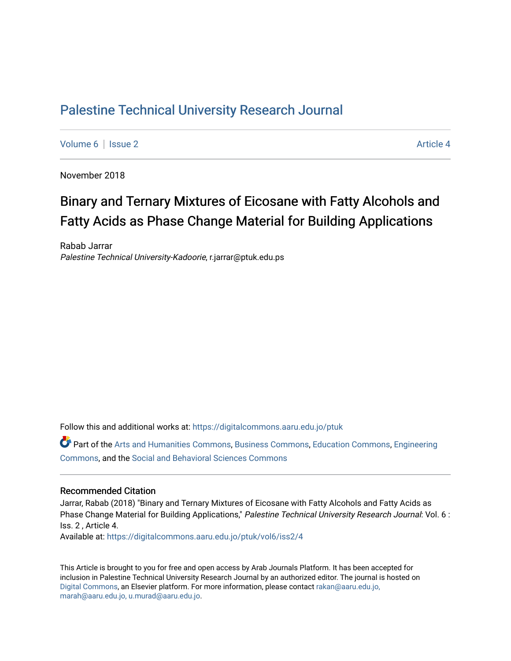# [Palestine Technical University Research Journal](https://digitalcommons.aaru.edu.jo/ptuk)

[Volume 6](https://digitalcommons.aaru.edu.jo/ptuk/vol6) | [Issue 2](https://digitalcommons.aaru.edu.jo/ptuk/vol6/iss2) Article 4

November 2018

# Binary and Ternary Mixtures of Eicosane with Fatty Alcohols and Fatty Acids as Phase Change Material for Building Applications

Rabab Jarrar Palestine Technical University-Kadoorie, r.jarrar@ptuk.edu.ps

Follow this and additional works at: [https://digitalcommons.aaru.edu.jo/ptuk](https://digitalcommons.aaru.edu.jo/ptuk?utm_source=digitalcommons.aaru.edu.jo%2Fptuk%2Fvol6%2Fiss2%2F4&utm_medium=PDF&utm_campaign=PDFCoverPages) 

Part of the [Arts and Humanities Commons,](http://network.bepress.com/hgg/discipline/438?utm_source=digitalcommons.aaru.edu.jo%2Fptuk%2Fvol6%2Fiss2%2F4&utm_medium=PDF&utm_campaign=PDFCoverPages) [Business Commons](http://network.bepress.com/hgg/discipline/622?utm_source=digitalcommons.aaru.edu.jo%2Fptuk%2Fvol6%2Fiss2%2F4&utm_medium=PDF&utm_campaign=PDFCoverPages), [Education Commons,](http://network.bepress.com/hgg/discipline/784?utm_source=digitalcommons.aaru.edu.jo%2Fptuk%2Fvol6%2Fiss2%2F4&utm_medium=PDF&utm_campaign=PDFCoverPages) [Engineering](http://network.bepress.com/hgg/discipline/217?utm_source=digitalcommons.aaru.edu.jo%2Fptuk%2Fvol6%2Fiss2%2F4&utm_medium=PDF&utm_campaign=PDFCoverPages) [Commons](http://network.bepress.com/hgg/discipline/217?utm_source=digitalcommons.aaru.edu.jo%2Fptuk%2Fvol6%2Fiss2%2F4&utm_medium=PDF&utm_campaign=PDFCoverPages), and the [Social and Behavioral Sciences Commons](http://network.bepress.com/hgg/discipline/316?utm_source=digitalcommons.aaru.edu.jo%2Fptuk%2Fvol6%2Fiss2%2F4&utm_medium=PDF&utm_campaign=PDFCoverPages)

#### Recommended Citation

Jarrar, Rabab (2018) "Binary and Ternary Mixtures of Eicosane with Fatty Alcohols and Fatty Acids as Phase Change Material for Building Applications," Palestine Technical University Research Journal: Vol. 6 : Iss. 2 , Article 4.

Available at: [https://digitalcommons.aaru.edu.jo/ptuk/vol6/iss2/4](https://digitalcommons.aaru.edu.jo/ptuk/vol6/iss2/4?utm_source=digitalcommons.aaru.edu.jo%2Fptuk%2Fvol6%2Fiss2%2F4&utm_medium=PDF&utm_campaign=PDFCoverPages)

This Article is brought to you for free and open access by Arab Journals Platform. It has been accepted for inclusion in Palestine Technical University Research Journal by an authorized editor. The journal is hosted on [Digital Commons](https://www.elsevier.com/solutions/digital-commons), an Elsevier platform. For more information, please contact [rakan@aaru.edu.jo,](mailto:rakan@aaru.edu.jo,%20marah@aaru.edu.jo,%20u.murad@aaru.edu.jo)  [marah@aaru.edu.jo, u.murad@aaru.edu.jo.](mailto:rakan@aaru.edu.jo,%20marah@aaru.edu.jo,%20u.murad@aaru.edu.jo)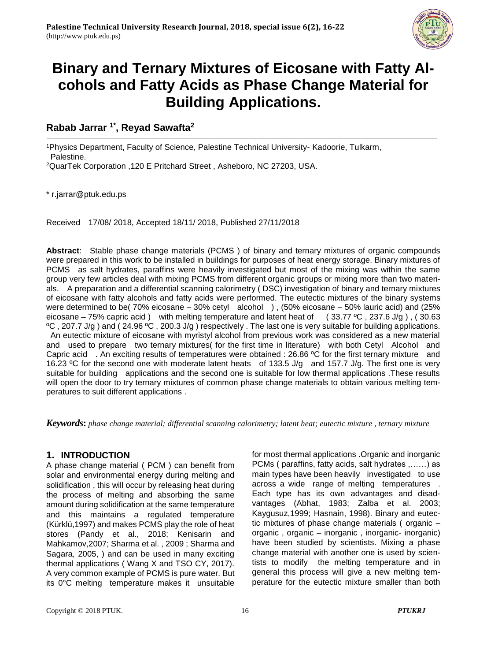

# **Binary and Ternary Mixtures of Eicosane with Fatty Alcohols and Fatty Acids as Phase Change Material for Building Applications.**

## **Rabab Jarrar 1\*, Reyad Sawafta<sup>2</sup>**

<sup>1</sup>Physics Department, Faculty of Science, Palestine Technical University- Kadoorie, Tulkarm, Palestine.

<sup>2</sup>QuarTek Corporation ,120 E Pritchard Street , Asheboro, NC 27203, USA.

\* r.jarrar@ptuk.edu.ps

Received 17/08/ 2018, Accepted 18/11/ 2018, Published 27/11/2018

**Abstract**: Stable phase change materials (PCMS ) of binary and ternary mixtures of organic compounds were prepared in this work to be installed in buildings for purposes of heat energy storage. Binary mixtures of PCMS as salt hydrates, paraffins were heavily investigated but most of the mixing was within the same group very few articles deal with mixing PCMS from different organic groups or mixing more than two materials. A preparation and a differential scanning calorimetry ( DSC) investigation of binary and ternary mixtures of eicosane with fatty alcohols and fatty acids were performed. The eutectic mixtures of the binary systems were determined to be( 70% eicosane – 30% cetyl alcohol ) , (50% eicosane – 50% lauric acid) and (25% eicosane – 75% capric acid ) with melting temperature and latent heat of (33.77 °C, 237.6 J/g), (30.63 ºC , 207.7 J/g ) and ( 24.96 ºC , 200.3 J/g ) respectively . The last one is very suitable for building applications. An eutectic mixture of eicosane with myristyl alcohol from previous work was considered as a new material and used to prepare two ternary mixtures( for the first time in literature) with both Cetyl Alcohol and Capric acid . An exciting results of temperatures were obtained : 26.86 ºC for the first ternary mixture and 16.23 ºC for the second one with moderate latent heats of 133.5 J/g and 157.7 J/g. The first one is very suitable for building applications and the second one is suitable for low thermal applications .These results will open the door to try ternary mixtures of common phase change materials to obtain various melting temperatures to suit different applications .

*Keywords***:** *phase change material; differential scanning calorimetry; latent heat; eutectic mixture , ternary mixture*

## **1. INTRODUCTION**

A phase change material ( PCM ) can benefit from solar and environmental energy during melting and solidification , this will occur by releasing heat during the process of melting and absorbing the same amount during solidification at the same temperature and this maintains a regulated temperature (Kürklü,1997) and makes PCMS play the role of heat stores (Pandy et al., 2018; Kenisarin and Mahkamov,2007; Sharma et al. , 2009 ; Sharma and Sagara, 2005, ) and can be used in many exciting thermal applications ( Wang X and TSO CY, 2017). A very common example of PCMS is pure water. But its 0°C melting temperature makes it unsuitable

for most thermal applications .Organic and inorganic PCMs ( paraffins, fatty acids, salt hydrates ,……) as main types have been heavily investigated to use across a wide range of melting temperatures Each type has its own advantages and disadvantages (Abhat, 1983; Zalba et al. 2003; Kaygusuz,1999; Hasnain, 1998). Binary and eutectic mixtures of phase change materials ( organic – organic , organic – inorganic , inorganic- inorganic) have been studied by scientists. Mixing a phase change material with another one is used by scientists to modify the melting temperature and in general this process will give a new melting temperature for the eutectic mixture smaller than both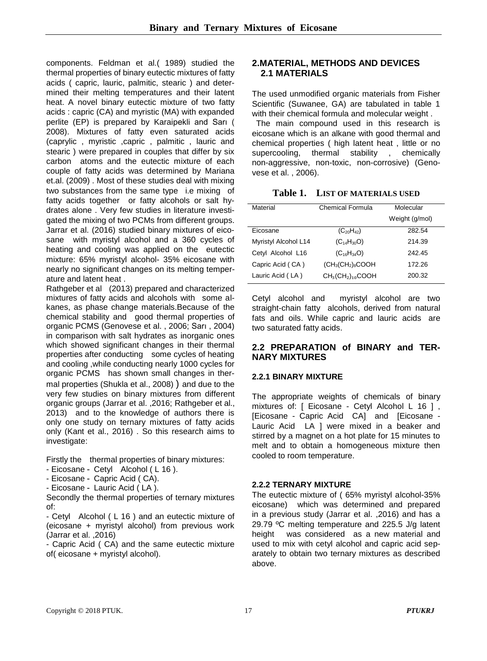components. [Feldman](https://www.sciencedirect.com/science/article/pii/0165163389900543#!) et al.( 1989) studied the thermal properties of binary eutectic mixtures of fatty acids ( capric, lauric, palmitic, stearic ) and determined their melting temperatures and their latent heat. A novel binary eutectic mixture of two fatty acids : capric (CA) and myristic (MA) with expanded perlite (EP) is prepared by Karaipekli and Sarı ( 2008). Mixtures of fatty even saturated acids (caprylic , myristic ,capric , palmitic , lauric and stearic ) were prepared in couples that differ by six carbon atoms and the eutectic mixture of each couple of fatty acids was determined by Mariana et.al. (2009) . Most of these studies deal with mixing two substances from the same type i.e mixing of fatty acids together or fatty alcohols or salt hydrates alone . Very few studies in literature investigated the mixing of two PCMs from different groups. Jarrar et al. (2016) studied binary mixtures of eicosane with myristyl alcohol and a 360 cycles of heating and cooling was applied on the eutectic mixture: 65% myristyl alcohol- 35% eicosane with nearly no significant changes on its melting temperature and latent heat .

Rathgeber et al (2013) prepared and characterized mixtures of fatty acids and alcohols with some alkanes, as phase change materials.Because of the chemical stability and good thermal properties of organic PCMS (Genovese et al. , 2006; Sarı , 2004) in comparison with salt hydrates as inorganic ones which showed significant changes in their thermal properties after conducting some cycles of heating and cooling ,while conducting nearly 1000 cycles for organic PCMS has shown small changes in thermal properties (Shukla et al., 2008) ) and due to the very few studies on binary mixtures from different organic groups (Jarrar et al. ,2016; Rathgeber et al., 2013) and to the knowledge of authors there is only one study on ternary mixtures of fatty acids only (Kant et al., 2016) . So this research aims to investigate:

Firstly the thermal properties of binary mixtures:

- Eicosane Cetyl Alcohol ( L 16 ).
- Eicosane Capric Acid ( CA).
- Eicosane Lauric Acid ( LA ).

Secondly the thermal properties of ternary mixtures of:

- Cetyl Alcohol ( L 16 ) and an eutectic mixture of (eicosane + myristyl alcohol) from previous work (Jarrar et al. ,2016)

- Capric Acid ( CA) and the same eutectic mixture of( eicosane + myristyl alcohol).

#### **2.MATERIAL, METHODS AND DEVICES 2.1 MATERIALS**

The used unmodified organic materials from Fisher Scientific (Suwanee, GA) are tabulated in table 1 with their chemical formula and molecular weight.

The main compound used in this research is eicosane which is an alkane with good thermal and chemical properties ( high latent heat , little or no supercooling, thermal stability , chemically non-aggressive, non-toxic, non-corrosive) (Genovese et al. , 2006).

| Table 1. |  | <b>LIST OF MATERIALS USED</b> |  |
|----------|--|-------------------------------|--|
|----------|--|-------------------------------|--|

| Material                    | Chemical Formula       | Molecular      |
|-----------------------------|------------------------|----------------|
|                             |                        | Weight (g/mol) |
| Eicosane                    | $(C_{20}H_{42})$       | 282.54         |
| <b>Myristyl Alcohol L14</b> | $(C_{14}H_{30}O)$      | 214.39         |
| Cetyl Alcohol L16           | $(C_{16}H_{34}O)$      | 242.45         |
| Capric Acid (CA)            | $(CH3(CH2)8COOH$       | 172.26         |
| Lauric Acid (LA)            | $CH_3(CH_2)_{10}$ COOH | 200.32         |

Cetyl alcohol and myristyl alcohol are two straight-chain fatty alcohols, derived from natural fats and oils. While capric and lauric acids are two [saturated](https://en.wikipedia.org/wiki/Saturated_fat) [fatty acids](https://en.wikipedia.org/wiki/Fatty_acid).

#### **2.2 PREPARATION of BINARY and TER-NARY MIXTURES**

#### **2.2.1 BINARY MIXTURE**

The appropriate weights of chemicals of binary mixtures of: [ Eicosane - Cetyl Alcohol L 16 ], [Eicosane - Capric Acid CA] and [Eicosane - Lauric Acid LA ] were mixed in a beaker and stirred by a magnet on a hot plate for 15 minutes to melt and to obtain a homogeneous mixture then cooled to room temperature.

#### **2.2.2 TERNARY MIXTURE**

The eutectic mixture of ( 65% myristyl alcohol-35% eicosane) which was determined and prepared in a previous study (Jarrar et al. ,2016) and has a 29.79 ºC melting temperature and 225.5 J/g latent height was considered as a new material and used to mix with cetyl alcohol and capric acid separately to obtain two ternary mixtures as described above.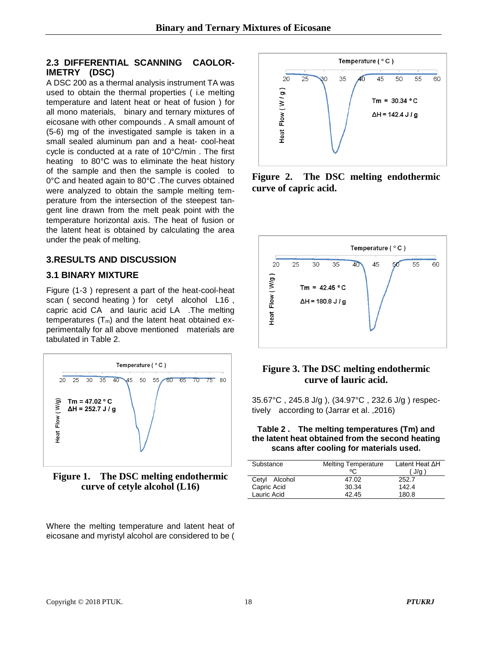### **2.3 DIFFERENTIAL SCANNING CAOLOR-IMETRY (DSC)**

A DSC 200 as a thermal analysis instrument TA was used to obtain the thermal properties ( i.e melting temperature and latent heat or heat of fusion ) for all mono materials, binary and ternary mixtures of eicosane with other compounds . A small amount of (5-6) mg of the investigated sample is taken in a small sealed aluminum pan and a heat- cool-heat cycle is conducted at a rate of 10°C/min . The first heating to 80°C was to eliminate the heat history of the sample and then the sample is cooled to 0°C and heated again to 80°C .The curves obtained were analyzed to obtain the sample melting temperature from the intersection of the steepest tangent line drawn from the melt peak point with the temperature horizontal axis. The heat of fusion or the latent heat is obtained by calculating the area under the peak of melting.

## **3.RESULTS AND DISCUSSION**

## **3.1 BINARY MIXTURE**

Figure (1-3 ) represent a part of the heat-cool-heat scan ( second heating ) for cetyl alcohol L16 , capric acid CA and lauric acid LA .The melting temperatures  $(T_m)$  and the latent heat obtained experimentally for all above mentioned materials are tabulated in Table 2.



**Figure 1. The DSC melting endothermic curve of cetyle alcohol (L16)**

Where the melting temperature and latent heat of eicosane and myristyl alcohol are considered to be (



**Figure 2. The DSC melting endothermic curve of capric acid.**



## **Figure 3. The DSC melting endothermic curve of lauric acid.**

35.67°C , 245.8 J/g ), (34.97°C , 232.6 J/g ) respectively according to (Jarrar et al. ,2016)

#### **Table 2 . The melting temperatures (Tm) and the latent heat obtained from the second heating scans after cooling for materials used.**

| Substance     | <b>Melting Temperature</b><br>$\circ$ | Latent Heat $\Delta H$<br>J/g |
|---------------|---------------------------------------|-------------------------------|
| Cetyl Alcohol | 47.02                                 | 252.7                         |
| Capric Acid   | 30.34                                 | 142.4                         |
| Lauric Acid   | 42.45                                 | 180.8                         |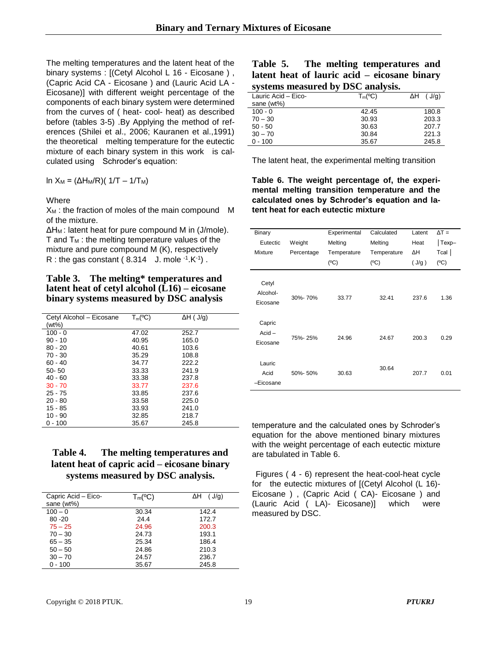The melting temperatures and the latent heat of the binary systems : [(Cetyl Alcohol L 16 - Eicosane). (Capric Acid CA - Eicosane ) and (Lauric Acid LA - Eicosane)] with different weight percentage of the components of each binary system were determined from the curves of ( heat- cool- heat) as described before (tables 3-5) .By Applying the method of references (Shilei et al., 2006; Kauranen et al.,1991) the theoretical melting temperature for the eutectic mixture of each binary system in this work is calculated using Schroder's equation:

ln X<sub>M</sub> = (ΔH<sub>M</sub>/R)( 1/T – 1/T<sub>M</sub>)

#### **Where**

 $X_M$ : the fraction of moles of the main compound  $M$ of the mixture.

ΔHM : latent heat for pure compound M in (J/mole).  $T$  and  $T_M$ : the melting temperature values of the mixture and pure compound M (K), respectively R : the gas constant ( $8.314$  J. mole  $-1.1$ K $-1$ ).

**Table 3. The melting\* temperatures and latent heat of cetyl alcohol (L16) – eicosane binary systems measured by DSC analysis**

| Cetyl Alcohol - Eicosane | $T_m$ (°C) | $\Delta H$ ( J/g) |
|--------------------------|------------|-------------------|
| (wt%)                    |            |                   |
| $100 - 0$                | 47.02      | 252.7             |
| $90 - 10$                | 40.95      | 165.0             |
| $80 - 20$                | 40.61      | 103.6             |
| $70 - 30$                | 35.29      | 108.8             |
| $60 - 40$                | 34.77      | 222.2             |
| $50 - 50$                | 33.33      | 241.9             |
| $40 - 60$                | 33.38      | 237.8             |
| $30 - 70$                | 33.77      | 237.6             |
| $25 - 75$                | 33.85      | 237.6             |
| $20 - 80$                | 33.58      | 225.0             |
| $15 - 85$                | 33.93      | 241.0             |
| $10 - 90$                | 32.85      | 218.7             |
| $0 - 100$                | 35.67      | 245.8             |
|                          |            |                   |

**Table 4. The melting temperatures and latent heat of capric acid – eicosane binary systems measured by DSC analysis.**

| Capric Acid - Eico- | $T_m({}^oC)$ | $\Delta H$ ( J/g) |
|---------------------|--------------|-------------------|
| sane (wt%)          |              |                   |
| $100 - 0$           | 30.34        | 142.4             |
| $80 - 20$           | 24.4         | 172.7             |
| $75 - 25$           | 24.96        | 200.3             |
| $70 - 30$           | 24.73        | 193.1             |
| $65 - 35$           | 25.34        | 186.4             |
| $50 - 50$           | 24.86        | 210.3             |
| $30 - 70$           | 24.57        | 236.7             |
| $0 - 100$           | 35.67        | 245.8             |

|  |  |  | Table 5. The melting temperatures and        |  |
|--|--|--|----------------------------------------------|--|
|  |  |  | latent heat of lauric acid – eicosane binary |  |
|  |  |  | systems measured by DSC analysis.            |  |

| Lauric Acid - Eico- | $T_m({}^oC)$ | $\Delta H$ ( J/g) |
|---------------------|--------------|-------------------|
| sane (wt%)          |              |                   |
| $100 - 0$           | 42.45        | 180.8             |
| $70 - 30$           | 30.93        | 203.3             |
| $50 - 50$           | 30.63        | 207.7             |
| $30 - 70$           | 30.84        | 221.3             |
| $0 - 100$           | 35.67        | 245.8             |
|                     |              |                   |

The latent heat, the experimental melting transition

**Table 6. The weight percentage of, the experimental melting transition temperature and the calculated ones by Schroder's equation and latent heat for each eutectic mixture**

| Binary                         |            | Experimental | Calculated  | Latent | $\Delta T =$ |
|--------------------------------|------------|--------------|-------------|--------|--------------|
| Eutectic                       | Weight     | Melting      | Melting     | Heat   | Texp-        |
| Mixture                        | Percentage | Temperature  | Temperature | ΔН     | $Tcal$       |
|                                |            | (°C)         | (°C)        | (J/g)  | (°C)         |
| Cetyl<br>Alcohol-<br>Eicosane  | 30%-70%    | 33.77        | 32.41       | 237.6  | 1.36         |
| Capric<br>$Acid -$<br>Eicosane | 75%-25%    | 24.96        | 24.67       | 200.3  | 0.29         |
| Lauric<br>Acid<br>-Eicosane    | 50%-50%    | 30.63        | 30.64       | 207.7  | 0.01         |

temperature and the calculated ones by Schroder's equation for the above mentioned binary mixtures with the weight percentage of each eutectic mixture are tabulated in Table 6.

Figures ( 4 - 6) represent the heat-cool-heat cycle for the eutectic mixtures of [(Cetyl Alcohol (L 16)- Eicosane ) , (Capric Acid ( CA)- Eicosane ) and (Lauric Acid ( LA)- Eicosane)] which were measured by DSC.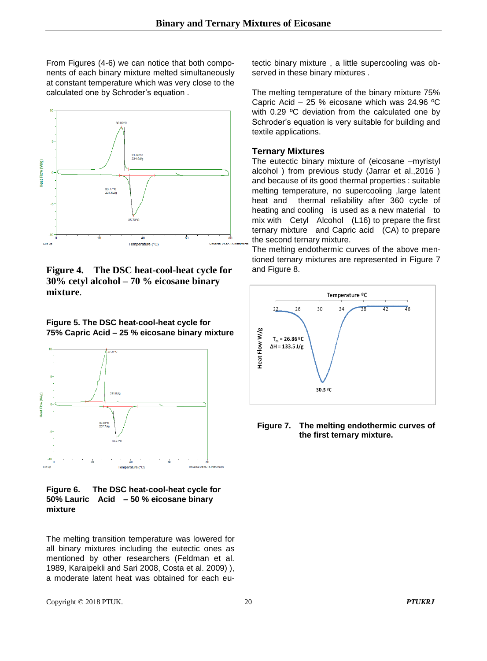From Figures (4-6) we can notice that both components of each binary mixture melted simultaneously at constant temperature which was very close to the calculated one by Schroder's equation .



**Figure 4. The DSC heat-cool-heat cycle for 30% cetyl alcohol – 70 % eicosane binary mixture**.





**Figure 6. The DSC heat-cool-heat cycle for 50% Lauric Acid – 50 % eicosane binary mixture**

The melting transition temperature was lowered for all binary mixtures including the eutectic ones as mentioned by other researchers (Feldman et al. 1989, Karaipekli and Sari 2008, Costa et al. 2009) ), a moderate latent heat was obtained for each eutectic binary mixture , a little supercooling was observed in these binary mixtures .

The melting temperature of the binary mixture 75% Capric Acid – 25 % eicosane which was 24.96 ºC with 0.29 °C deviation from the calculated one by Schroder's equation is very suitable for building and textile applications.

#### **Ternary Mixtures**

The eutectic binary mixture of (eicosane –myristyl alcohol ) from previous study (Jarrar et al.,2016 ) and because of its good thermal properties : suitable melting temperature, no supercooling ,large latent heat and thermal reliability after 360 cycle of heating and cooling is used as a new material to mix with Cetyl Alcohol (L16) to prepare the first ternary mixture and Capric acid (CA) to prepare the second ternary mixture.

The melting endothermic curves of the above mentioned ternary mixtures are represented in Figure 7 and Figure 8.



#### **Figure 7. The melting endothermic curves of the first ternary mixture.**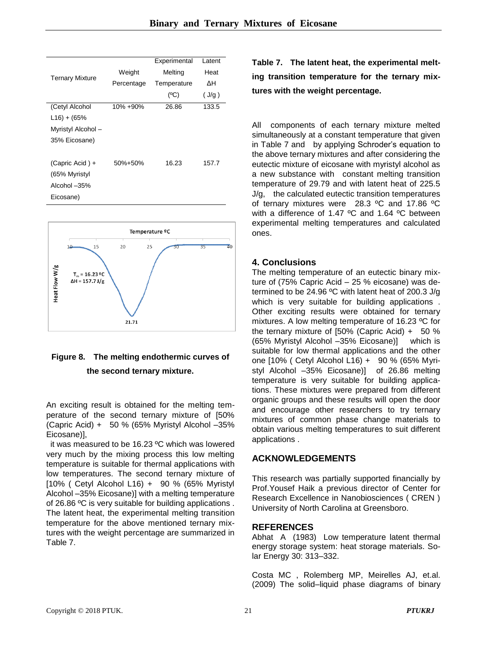|                        |            | Experimental | Latent |
|------------------------|------------|--------------|--------|
|                        | Weight     | Melting      | Heat   |
| <b>Ternary Mixture</b> | Percentage | Temperature  | ΔН     |
|                        |            | (°C)         | (J/q)  |
| (Cetyl Alcohol         | 10% +90%   | 26.86        | 133.5  |
| $L16$ ) + (65%         |            |              |        |
| Myristyl Alcohol -     |            |              |        |
| 35% Eicosane)          |            |              |        |
|                        |            |              |        |
| (Capric Acid) +        | 50%+50%    | 16.23        | 157.7  |
| (65% Myristyl          |            |              |        |
| Alcohol -35%           |            |              |        |
| Eicosane)              |            |              |        |



## **Figure 8. The melting endothermic curves of the second ternary mixture.**

An exciting result is obtained for the melting temperature of the second ternary mixture of [50% (Capric Acid) + 50 % (65% Myristyl Alcohol –35% Eicosane)],

it was measured to be 16.23 ºC which was lowered very much by the mixing process this low melting temperature is suitable for thermal applications with low temperatures. The second ternary mixture of [10% ( Cetyl Alcohol L16) + 90 % (65% Myristyl Alcohol –35% Eicosane)] with a melting temperature of 26.86 ºC is very suitable for building applications . The latent heat, the experimental melting transition temperature for the above mentioned ternary mixtures with the weight percentage are summarized in Table 7.

**Table 7. The latent heat, the experimental melting transition temperature for the ternary mixtures with the weight percentage.**

All components of each ternary mixture melted simultaneously at a constant temperature that given in Table 7 and by applying Schroder's equation to the above ternary mixtures and after considering the eutectic mixture of eicosane with myristyl alcohol as a new substance with constant melting transition temperature of 29.79 and with latent heat of 225.5 J/g, the calculated eutectic transition temperatures of ternary mixtures were 28.3 ºC and 17.86 ºC with a difference of 1.47 °C and 1.64 °C between experimental melting temperatures and calculated ones.

## **4. Conclusions**

The melting temperature of an eutectic binary mixture of (75% Capric Acid – 25 % eicosane) was determined to be 24.96 ºC with latent heat of 200.3 J/g which is very suitable for building applications. Other exciting results were obtained for ternary mixtures. A low melting temperature of 16.23 ºC for the ternary mixture of [50% (Capric Acid) + 50 % (65% Myristyl Alcohol –35% Eicosane)] which is suitable for low thermal applications and the other one [10% ( Cetyl Alcohol L16) + 90 % (65% Myristyl Alcohol –35% Eicosane)] of 26.86 melting temperature is very suitable for building applications. These mixtures were prepared from different organic groups and these results will open the door and encourage other researchers to try ternary mixtures of common phase change materials to obtain various melting temperatures to suit different applications .

## **ACKNOWLEDGEMENTS**

This research was partially supported financially by Prof.Yousef Haik a previous director of Center for Research Excellence in Nanobiosciences ( CREN ) University of North Carolina at Greensboro.

#### **REFERENCES**

Abhat A (1983) Low temperature latent thermal energy storage system: heat storage materials. Solar Energy 30: 313–332.

Costa MC , Rolemberg MP, Meirelles AJ, et.al. (2009) The solid–liquid phase diagrams of binary